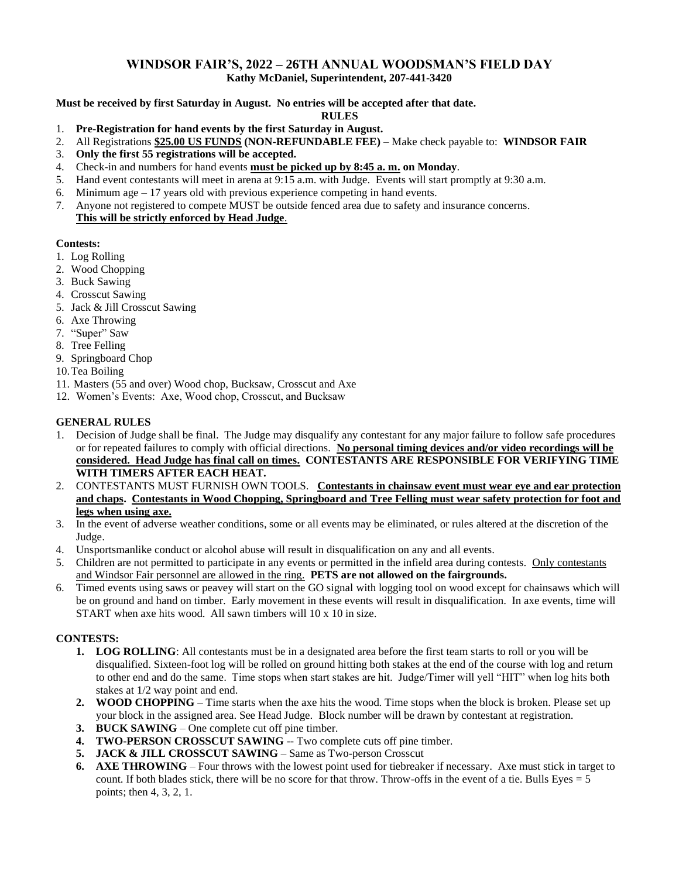# **WINDSOR FAIR'S, 2022 – 26TH ANNUAL WOODSMAN'S FIELD DAY Kathy McDaniel, Superintendent, 207-441-3420**

**Must be received by first Saturday in August. No entries will be accepted after that date.**

**RULES**

- 1. **Pre-Registration for hand events by the first Saturday in August.**
- 2. All Registrations **\$25.00 US FUNDS (NON-REFUNDABLE FEE)** Make check payable to: **WINDSOR FAIR**
- 3. **Only the first 55 registrations will be accepted.**
- 4. Check-in and numbers for hand events **must be picked up by 8:45 a. m. on Monday**.
- 5. Hand event contestants will meet in arena at 9:15 a.m. with Judge. Events will start promptly at 9:30 a.m.
- 6. Minimum age  $-17$  years old with previous experience competing in hand events.
- 7. Anyone not registered to compete MUST be outside fenced area due to safety and insurance concerns. **This will be strictly enforced by Head Judge**.

### **Contests:**

- 1. Log Rolling
- 2. Wood Chopping
- 3. Buck Sawing
- 4. Crosscut Sawing
- 5. Jack & Jill Crosscut Sawing
- 6. Axe Throwing
- 7. "Super" Saw
- 8. Tree Felling
- 9. Springboard Chop
- 10.Tea Boiling
- 11. Masters (55 and over) Wood chop, Bucksaw, Crosscut and Axe
- 12. Women's Events: Axe, Wood chop, Crosscut, and Bucksaw

## **GENERAL RULES**

- 1. Decision of Judge shall be final. The Judge may disqualify any contestant for any major failure to follow safe procedures or for repeated failures to comply with official directions. **No personal timing devices and/or video recordings will be considered. Head Judge has final call on times. CONTESTANTS ARE RESPONSIBLE FOR VERIFYING TIME WITH TIMERS AFTER EACH HEAT.**
- 2. CONTESTANTS MUST FURNISH OWN TOOLS. **Contestants in chainsaw event must wear eye and ear protection and chaps. Contestants in Wood Chopping, Springboard and Tree Felling must wear safety protection for foot and legs when using axe.**
- 3. In the event of adverse weather conditions, some or all events may be eliminated, or rules altered at the discretion of the Judge.
- 4. Unsportsmanlike conduct or alcohol abuse will result in disqualification on any and all events.
- 5. Children are not permitted to participate in any events or permitted in the infield area during contests. Only contestants and Windsor Fair personnel are allowed in the ring. **PETS are not allowed on the fairgrounds.**
- 6. Timed events using saws or peavey will start on the GO signal with logging tool on wood except for chainsaws which will be on ground and hand on timber. Early movement in these events will result in disqualification. In axe events, time will START when axe hits wood. All sawn timbers will 10 x 10 in size.

## **CONTESTS:**

- **1. LOG ROLLING**: All contestants must be in a designated area before the first team starts to roll or you will be disqualified. Sixteen-foot log will be rolled on ground hitting both stakes at the end of the course with log and return to other end and do the same. Time stops when start stakes are hit. Judge/Timer will yell "HIT" when log hits both stakes at 1/2 way point and end.
- **2. WOOD CHOPPING** Time starts when the axe hits the wood. Time stops when the block is broken. Please set up your block in the assigned area. See Head Judge. Block number will be drawn by contestant at registration.
- **3. BUCK SAWING** One complete cut off pine timber.
- **4. TWO-PERSON CROSSCUT SAWING** -- Two complete cuts off pine timber.
- **5. JACK & JILL CROSSCUT SAWING** Same as Two-person Crosscut
- **6. AXE THROWING** Four throws with the lowest point used for tiebreaker if necessary. Axe must stick in target to count. If both blades stick, there will be no score for that throw. Throw-offs in the event of a tie. Bulls Eyes  $= 5$ points; then 4, 3, 2, 1.